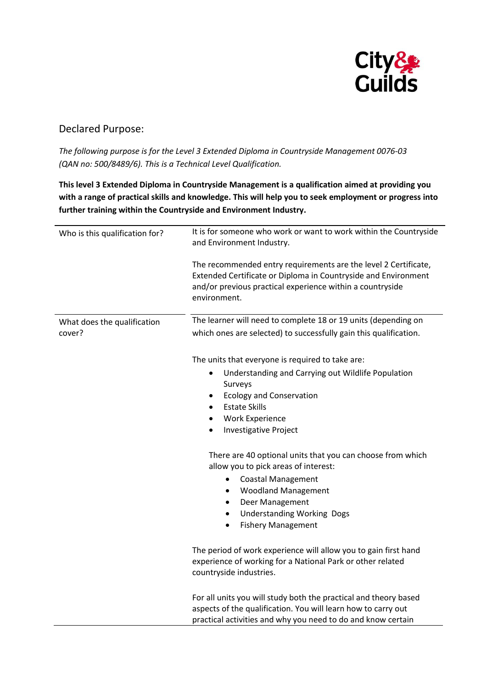

## Declared Purpose:

*The following purpose is for the Level 3 Extended Diploma in Countryside Management 0076-03 (QAN no: 500/8489/6). This is a Technical Level Qualification.*

**This level 3 Extended Diploma in Countryside Management is a qualification aimed at providing you with a range of practical skills and knowledge. This will help you to seek employment or progress into further training within the Countryside and Environment Industry.**

| Who is this qualification for?        | It is for someone who work or want to work within the Countryside<br>and Environment Industry.<br>The recommended entry requirements are the level 2 Certificate,<br>Extended Certificate or Diploma in Countryside and Environment<br>and/or previous practical experience within a countryside<br>environment. |
|---------------------------------------|------------------------------------------------------------------------------------------------------------------------------------------------------------------------------------------------------------------------------------------------------------------------------------------------------------------|
| What does the qualification<br>cover? | The learner will need to complete 18 or 19 units (depending on<br>which ones are selected) to successfully gain this qualification.                                                                                                                                                                              |
|                                       | The units that everyone is required to take are:<br>Understanding and Carrying out Wildlife Population<br>$\bullet$<br>Surveys<br><b>Ecology and Conservation</b><br>٠<br><b>Estate Skills</b><br>$\bullet$<br><b>Work Experience</b><br>$\bullet$<br><b>Investigative Project</b><br>$\bullet$                  |
|                                       | There are 40 optional units that you can choose from which<br>allow you to pick areas of interest:<br><b>Coastal Management</b><br>٠<br><b>Woodland Management</b><br>٠<br>Deer Management<br>$\bullet$<br><b>Understanding Working Dogs</b><br>$\bullet$<br><b>Fishery Management</b>                           |
|                                       | The period of work experience will allow you to gain first hand<br>experience of working for a National Park or other related<br>countryside industries.                                                                                                                                                         |
|                                       | For all units you will study both the practical and theory based<br>aspects of the qualification. You will learn how to carry out                                                                                                                                                                                |

practical activities and why you need to do and know certain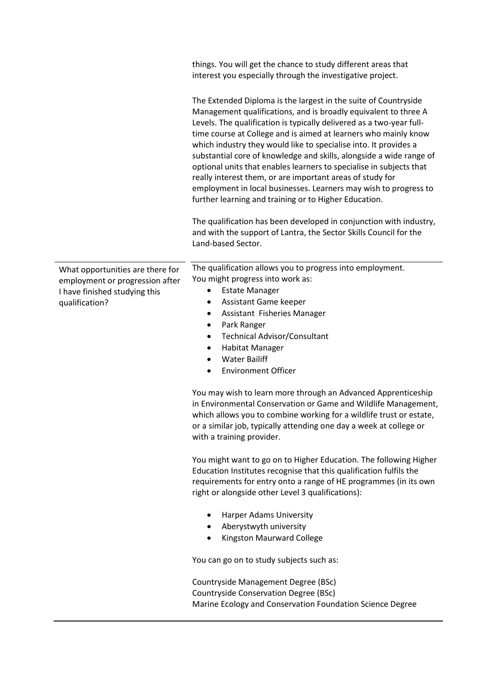|                                                                                                                        | things. You will get the chance to study different areas that<br>interest you especially through the investigative project.                                                                                                                                                                                                                                                                                                                                                                                                                                                                                                                                                               |
|------------------------------------------------------------------------------------------------------------------------|-------------------------------------------------------------------------------------------------------------------------------------------------------------------------------------------------------------------------------------------------------------------------------------------------------------------------------------------------------------------------------------------------------------------------------------------------------------------------------------------------------------------------------------------------------------------------------------------------------------------------------------------------------------------------------------------|
|                                                                                                                        | The Extended Diploma is the largest in the suite of Countryside<br>Management qualifications, and is broadly equivalent to three A<br>Levels. The qualification is typically delivered as a two-year full-<br>time course at College and is aimed at learners who mainly know<br>which industry they would like to specialise into. It provides a<br>substantial core of knowledge and skills, alongside a wide range of<br>optional units that enables learners to specialise in subjects that<br>really interest them, or are important areas of study for<br>employment in local businesses. Learners may wish to progress to<br>further learning and training or to Higher Education. |
|                                                                                                                        | The qualification has been developed in conjunction with industry,<br>and with the support of Lantra, the Sector Skills Council for the<br>Land-based Sector.                                                                                                                                                                                                                                                                                                                                                                                                                                                                                                                             |
| What opportunities are there for<br>employment or progression after<br>I have finished studying this<br>qualification? | The qualification allows you to progress into employment.<br>You might progress into work as:<br><b>Estate Manager</b><br>Assistant Game keeper<br>٠<br>Assistant Fisheries Manager<br>٠<br>Park Ranger<br>٠<br><b>Technical Advisor/Consultant</b><br>$\bullet$<br>Habitat Manager<br>$\bullet$<br><b>Water Bailiff</b><br>$\bullet$<br><b>Environment Officer</b><br>$\bullet$                                                                                                                                                                                                                                                                                                          |
|                                                                                                                        | You may wish to learn more through an Advanced Apprenticeship<br>in Environmental Conservation or Game and Wildlife Management,<br>which allows you to combine working for a wildlife trust or estate,<br>or a similar job, typically attending one day a week at college or<br>with a training provider.                                                                                                                                                                                                                                                                                                                                                                                 |
|                                                                                                                        | You might want to go on to Higher Education. The following Higher<br>Education Institutes recognise that this qualification fulfils the<br>requirements for entry onto a range of HE programmes (in its own<br>right or alongside other Level 3 qualifications):                                                                                                                                                                                                                                                                                                                                                                                                                          |
|                                                                                                                        | Harper Adams University<br>Aberystwyth university<br>Kingston Maurward College<br>$\bullet$                                                                                                                                                                                                                                                                                                                                                                                                                                                                                                                                                                                               |
|                                                                                                                        | You can go on to study subjects such as:                                                                                                                                                                                                                                                                                                                                                                                                                                                                                                                                                                                                                                                  |
|                                                                                                                        | Countryside Management Degree (BSc)<br>Countryside Conservation Degree (BSc)<br>Marine Ecology and Conservation Foundation Science Degree                                                                                                                                                                                                                                                                                                                                                                                                                                                                                                                                                 |